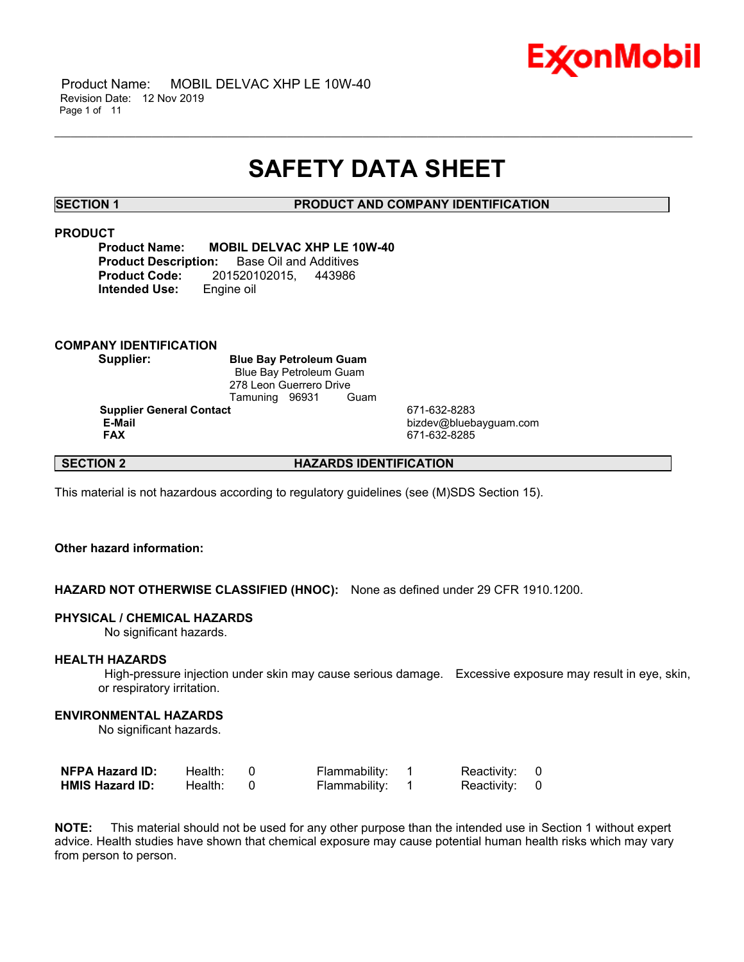

## **SAFETY DATA SHEET**

\_\_\_\_\_\_\_\_\_\_\_\_\_\_\_\_\_\_\_\_\_\_\_\_\_\_\_\_\_\_\_\_\_\_\_\_\_\_\_\_\_\_\_\_\_\_\_\_\_\_\_\_\_\_\_\_\_\_\_\_\_\_\_\_\_\_\_\_\_\_\_\_\_\_\_\_\_\_\_\_\_\_\_\_\_\_\_\_\_\_\_\_\_\_\_\_\_\_\_\_\_\_\_\_\_\_\_\_\_\_\_\_\_\_\_\_\_\_

### **SECTION 1 PRODUCT AND COMPANY IDENTIFICATION**

### **PRODUCT**

**Product Name: MOBIL DELVAC XHP LE 10W-40 Product Description:** Base Oil and Additives **Product Code:** 201520102015, 443986 **Intended Use:** Engine oil

### **COMPANY IDENTIFICATION**

**Supplier: Blue Bay Petroleum Guam** Blue Bay Petroleum Guam 278 Leon Guerrero Drive<br>Tamuning 96931 Guam Tamuning 96931

**Supplier General Contact** 671-632-8283<br> **E-Mail** bizdev@blueb

 **E-Mail** bizdev@bluebayguam.com  **FAX** 671-632-8285

### **SECTION 2 HAZARDS IDENTIFICATION**

This material is not hazardous according to regulatory guidelines (see (M)SDS Section 15).

### **Other hazard information:**

### **HAZARD NOT OTHERWISE CLASSIFIED (HNOC):** None as defined under 29 CFR 1910.1200.

### **PHYSICAL / CHEMICAL HAZARDS**

No significant hazards.

#### **HEALTH HAZARDS**

 High-pressure injection under skin may cause serious damage. Excessive exposure may result in eye, skin, or respiratory irritation.

#### **ENVIRONMENTAL HAZARDS**

No significant hazards.

| <b>NFPA Hazard ID:</b> | Health: | Flammability: | Reactivity: 0 |  |
|------------------------|---------|---------------|---------------|--|
| <b>HMIS Hazard ID:</b> | Health: | Flammability: | Reactivity: 0 |  |

**NOTE:** This material should not be used for any other purpose than the intended use in Section 1 without expert advice. Health studies have shown that chemical exposure may cause potential human health risks which may vary from person to person.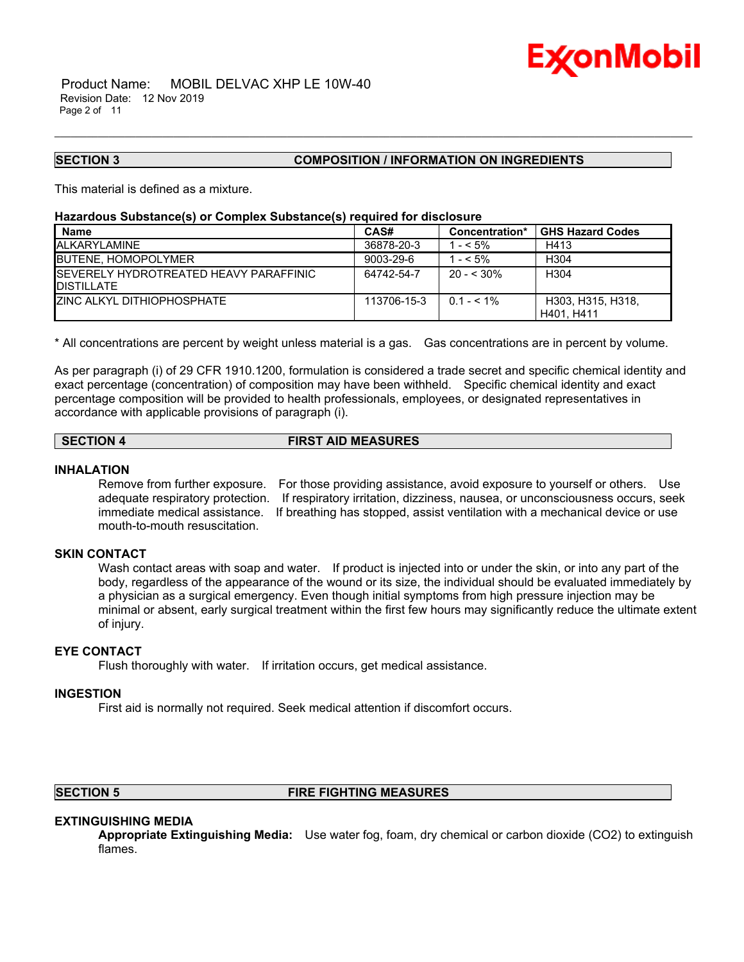

#### **SECTION 3 COMPOSITION / INFORMATION ON INGREDIENTS**

This material is defined as a mixture.

#### **Hazardous Substance(s) or Complex Substance(s) required for disclosure**

| <b>Name</b>                                                   | CAS#        | Concentration* | <b>GHS Hazard Codes</b>         |
|---------------------------------------------------------------|-------------|----------------|---------------------------------|
| <b>IALKARYLAMINE</b>                                          | 36878-20-3  | $- < 5\%$      | H413                            |
| <b>IBUTENE, HOMOPOLYMER</b>                                   | 9003-29-6   | $-5\%$         | H304                            |
| ISEVERELY HYDROTREATED HEAVY PARAFFINIC<br><b>IDISTILLATE</b> | 64742-54-7  | $20 - 530\%$   | H <sub>304</sub>                |
| <b>IZINC ALKYL DITHIOPHOSPHATE</b>                            | 113706-15-3 | $0.1 - 5.1\%$  | H303, H315, H318,<br>H401, H411 |

\_\_\_\_\_\_\_\_\_\_\_\_\_\_\_\_\_\_\_\_\_\_\_\_\_\_\_\_\_\_\_\_\_\_\_\_\_\_\_\_\_\_\_\_\_\_\_\_\_\_\_\_\_\_\_\_\_\_\_\_\_\_\_\_\_\_\_\_\_\_\_\_\_\_\_\_\_\_\_\_\_\_\_\_\_\_\_\_\_\_\_\_\_\_\_\_\_\_\_\_\_\_\_\_\_\_\_\_\_\_\_\_\_\_\_\_\_\_

\* All concentrations are percent by weight unless material is a gas. Gas concentrations are in percent by volume.

As per paragraph (i) of 29 CFR 1910.1200, formulation is considered a trade secret and specific chemical identity and exact percentage (concentration) of composition may have been withheld. Specific chemical identity and exact percentage composition will be provided to health professionals, employees, or designated representatives in accordance with applicable provisions of paragraph (i).

### **SECTION 4 FIRST AID MEASURES**

### **INHALATION**

Remove from further exposure. For those providing assistance, avoid exposure to yourself or others. Use adequate respiratory protection. If respiratory irritation, dizziness, nausea, or unconsciousness occurs, seek immediate medical assistance. If breathing has stopped, assist ventilation with a mechanical device or use mouth-to-mouth resuscitation.

#### **SKIN CONTACT**

Wash contact areas with soap and water. If product is injected into or under the skin, or into any part of the body, regardless of the appearance of the wound or its size, the individual should be evaluated immediately by a physician as a surgical emergency. Even though initial symptoms from high pressure injection may be minimal or absent, early surgical treatment within the first few hours may significantly reduce the ultimate extent of injury.

### **EYE CONTACT**

Flush thoroughly with water. If irritation occurs, get medical assistance.

#### **INGESTION**

First aid is normally not required. Seek medical attention if discomfort occurs.

### **SECTION 5 FIRE FIGHTING MEASURES**

### **EXTINGUISHING MEDIA**

**Appropriate Extinguishing Media:** Use water fog, foam, dry chemical or carbon dioxide (CO2) to extinguish flames.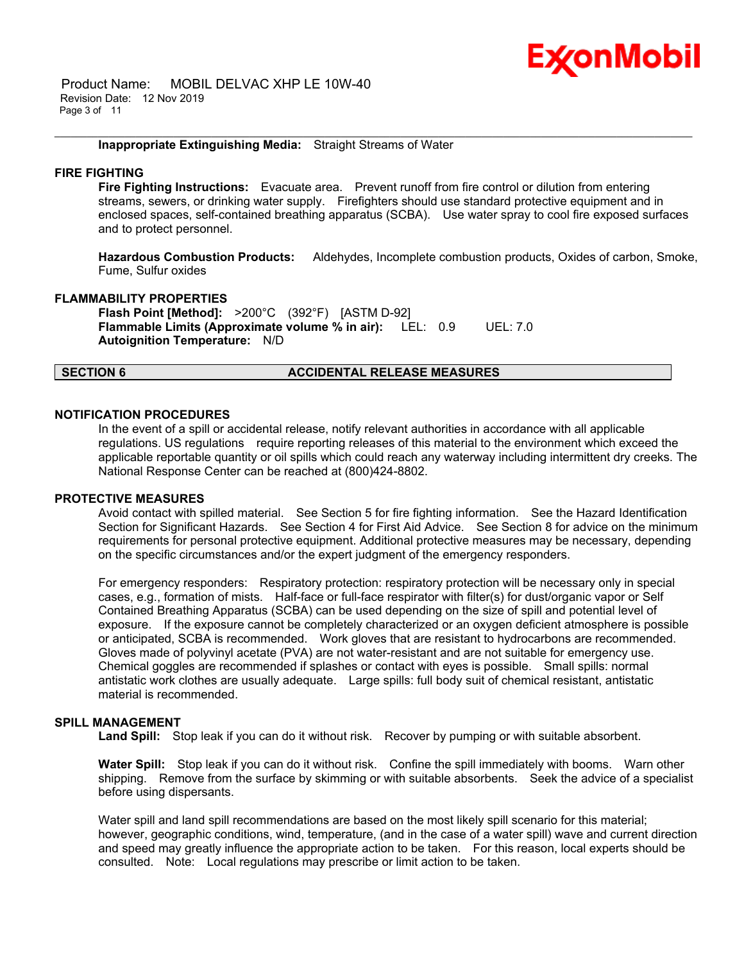

 Product Name: MOBIL DELVAC XHP LE 10W-40 Revision Date: 12 Nov 2019 Page 3 of 11

#### **Inappropriate Extinguishing Media:** Straight Streams of Water

#### **FIRE FIGHTING**

**Fire Fighting Instructions:** Evacuate area. Prevent runoff from fire control or dilution from entering streams, sewers, or drinking water supply. Firefighters should use standard protective equipment and in enclosed spaces, self-contained breathing apparatus (SCBA). Use water spray to cool fire exposed surfaces and to protect personnel.

\_\_\_\_\_\_\_\_\_\_\_\_\_\_\_\_\_\_\_\_\_\_\_\_\_\_\_\_\_\_\_\_\_\_\_\_\_\_\_\_\_\_\_\_\_\_\_\_\_\_\_\_\_\_\_\_\_\_\_\_\_\_\_\_\_\_\_\_\_\_\_\_\_\_\_\_\_\_\_\_\_\_\_\_\_\_\_\_\_\_\_\_\_\_\_\_\_\_\_\_\_\_\_\_\_\_\_\_\_\_\_\_\_\_\_\_\_\_

**Hazardous Combustion Products:** Aldehydes, Incomplete combustion products, Oxides of carbon, Smoke, Fume, Sulfur oxides

#### **FLAMMABILITY PROPERTIES**

**Flash Point [Method]:** >200°C (392°F) [ASTM D-92] **Flammable Limits (Approximate volume % in air):** LEL: 0.9 UEL: 7.0 **Autoignition Temperature:** N/D

#### **SECTION 6 ACCIDENTAL RELEASE MEASURES**

#### **NOTIFICATION PROCEDURES**

In the event of a spill or accidental release, notify relevant authorities in accordance with all applicable regulations. US regulations require reporting releases of this material to the environment which exceed the applicable reportable quantity or oil spills which could reach any waterway including intermittent dry creeks. The National Response Center can be reached at (800)424-8802.

#### **PROTECTIVE MEASURES**

Avoid contact with spilled material. See Section 5 for fire fighting information. See the Hazard Identification Section for Significant Hazards. See Section 4 for First Aid Advice. See Section 8 for advice on the minimum requirements for personal protective equipment. Additional protective measures may be necessary, depending on the specific circumstances and/or the expert judgment of the emergency responders.

For emergency responders: Respiratory protection: respiratory protection will be necessary only in special cases, e.g., formation of mists. Half-face or full-face respirator with filter(s) for dust/organic vapor or Self Contained Breathing Apparatus (SCBA) can be used depending on the size of spill and potential level of exposure. If the exposure cannot be completely characterized or an oxygen deficient atmosphere is possible or anticipated, SCBA is recommended. Work gloves that are resistant to hydrocarbons are recommended. Gloves made of polyvinyl acetate (PVA) are not water-resistant and are not suitable for emergency use. Chemical goggles are recommended if splashes or contact with eyes is possible. Small spills: normal antistatic work clothes are usually adequate. Large spills: full body suit of chemical resistant, antistatic material is recommended.

### **SPILL MANAGEMENT**

Land Spill: Stop leak if you can do it without risk. Recover by pumping or with suitable absorbent.

**Water Spill:** Stop leak if you can do it without risk. Confine the spill immediately with booms. Warn other shipping. Remove from the surface by skimming or with suitable absorbents. Seek the advice of a specialist before using dispersants.

Water spill and land spill recommendations are based on the most likely spill scenario for this material; however, geographic conditions, wind, temperature, (and in the case of a water spill) wave and current direction and speed may greatly influence the appropriate action to be taken. For this reason, local experts should be consulted. Note: Local regulations may prescribe or limit action to be taken.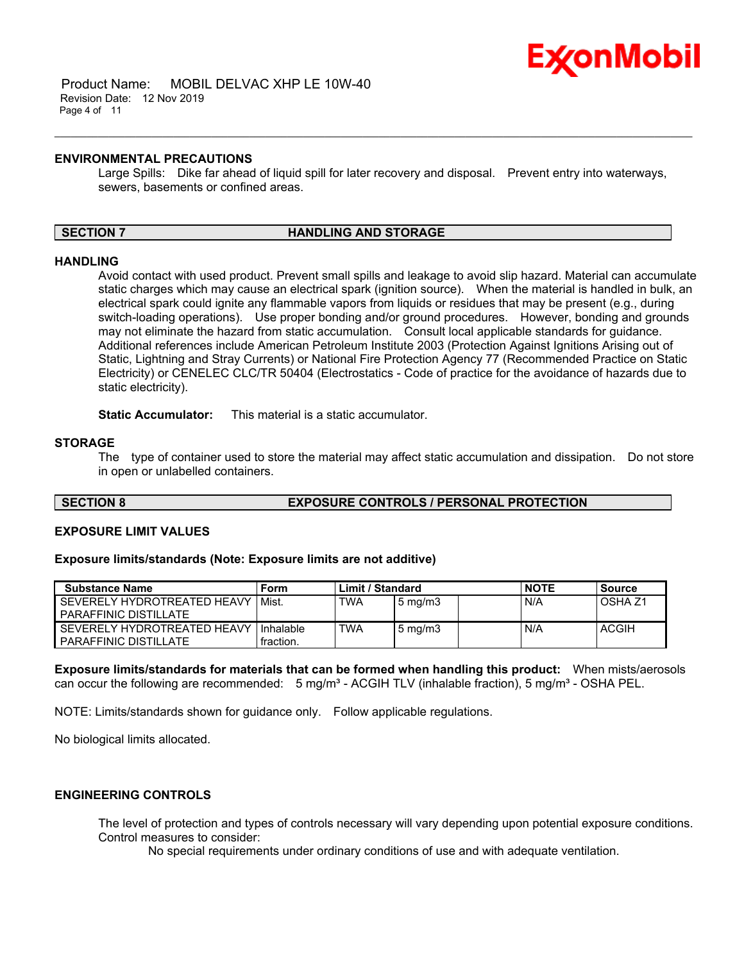

 Product Name: MOBIL DELVAC XHP LE 10W-40 Revision Date: 12 Nov 2019 Page 4 of 11

#### **ENVIRONMENTAL PRECAUTIONS**

Large Spills: Dike far ahead of liquid spill for later recovery and disposal. Prevent entry into waterways, sewers, basements or confined areas.

\_\_\_\_\_\_\_\_\_\_\_\_\_\_\_\_\_\_\_\_\_\_\_\_\_\_\_\_\_\_\_\_\_\_\_\_\_\_\_\_\_\_\_\_\_\_\_\_\_\_\_\_\_\_\_\_\_\_\_\_\_\_\_\_\_\_\_\_\_\_\_\_\_\_\_\_\_\_\_\_\_\_\_\_\_\_\_\_\_\_\_\_\_\_\_\_\_\_\_\_\_\_\_\_\_\_\_\_\_\_\_\_\_\_\_\_\_\_

#### **SECTION 7 HANDLING AND STORAGE**

#### **HANDLING**

Avoid contact with used product. Prevent small spills and leakage to avoid slip hazard. Material can accumulate static charges which may cause an electrical spark (ignition source). When the material is handled in bulk, an electrical spark could ignite any flammable vapors from liquids or residues that may be present (e.g., during switch-loading operations). Use proper bonding and/or ground procedures. However, bonding and grounds may not eliminate the hazard from static accumulation. Consult local applicable standards for guidance. Additional references include American Petroleum Institute 2003 (Protection Against Ignitions Arising out of Static, Lightning and Stray Currents) or National Fire Protection Agency 77 (Recommended Practice on Static Electricity) or CENELEC CLC/TR 50404 (Electrostatics - Code of practice for the avoidance of hazards due to static electricity).

**Static Accumulator:** This material is a static accumulator.

#### **STORAGE**

The type of container used to store the material may affect static accumulation and dissipation. Do not store in open or unlabelled containers.

#### **SECTION 8 EXPOSURE CONTROLS / PERSONAL PROTECTION**

#### **EXPOSURE LIMIT VALUES**

#### **Exposure limits/standards (Note: Exposure limits are not additive)**

| <b>Substance Name</b>                                       | Form                   | Limit / Standard |                  | <b>NOTE</b> | <b>Source</b> |                    |
|-------------------------------------------------------------|------------------------|------------------|------------------|-------------|---------------|--------------------|
| SEVERELY HYDROTREATED HEAVY<br><b>PARAFFINIC DISTILLATE</b> | Mist.                  | <b>TWA</b>       | $5 \text{ mg/m}$ |             | N/A           | OSHA <sub>Z1</sub> |
| SEVERELY HYDROTREATED HEAVY<br><b>PARAFFINIC DISTILLATE</b> | Inhalable<br>fraction. | <b>TWA</b>       | $5 \text{ mg/m}$ |             | N/A           | <b>ACGIH</b>       |

**Exposure limits/standards for materials that can be formed when handling this product:** When mists/aerosols can occur the following are recommended:  $5 \text{ mg/m}^3$  - ACGIH TLV (inhalable fraction),  $5 \text{ mg/m}^3$  - OSHA PEL.

NOTE: Limits/standards shown for guidance only. Follow applicable regulations.

No biological limits allocated.

### **ENGINEERING CONTROLS**

The level of protection and types of controls necessary will vary depending upon potential exposure conditions. Control measures to consider:

No special requirements under ordinary conditions of use and with adequate ventilation.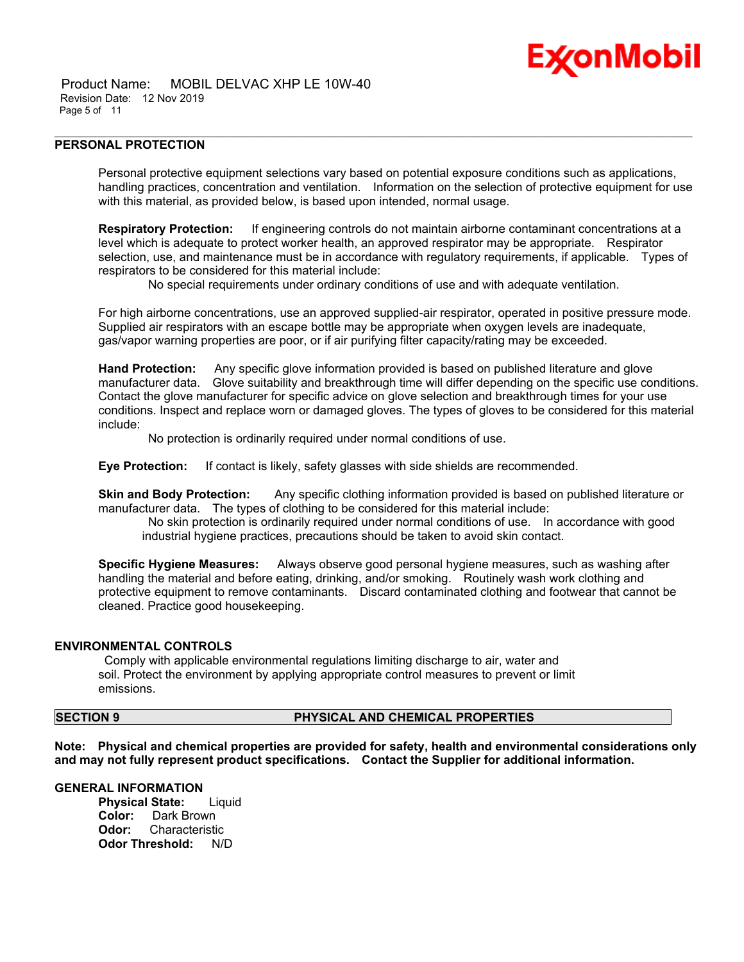

 Product Name: MOBIL DELVAC XHP LE 10W-40 Revision Date: 12 Nov 2019 Page 5 of 11

#### **PERSONAL PROTECTION**

Personal protective equipment selections vary based on potential exposure conditions such as applications, handling practices, concentration and ventilation. Information on the selection of protective equipment for use with this material, as provided below, is based upon intended, normal usage.

\_\_\_\_\_\_\_\_\_\_\_\_\_\_\_\_\_\_\_\_\_\_\_\_\_\_\_\_\_\_\_\_\_\_\_\_\_\_\_\_\_\_\_\_\_\_\_\_\_\_\_\_\_\_\_\_\_\_\_\_\_\_\_\_\_\_\_\_\_\_\_\_\_\_\_\_\_\_\_\_\_\_\_\_\_\_\_\_\_\_\_\_\_\_\_\_\_\_\_\_\_\_\_\_\_\_\_\_\_\_\_\_\_\_\_\_\_\_

**Respiratory Protection:** If engineering controls do not maintain airborne contaminant concentrations at a level which is adequate to protect worker health, an approved respirator may be appropriate. Respirator selection, use, and maintenance must be in accordance with regulatory requirements, if applicable. Types of respirators to be considered for this material include:

No special requirements under ordinary conditions of use and with adequate ventilation.

For high airborne concentrations, use an approved supplied-air respirator, operated in positive pressure mode. Supplied air respirators with an escape bottle may be appropriate when oxygen levels are inadequate, gas/vapor warning properties are poor, or if air purifying filter capacity/rating may be exceeded.

**Hand Protection:** Any specific glove information provided is based on published literature and glove manufacturer data. Glove suitability and breakthrough time will differ depending on the specific use conditions. Contact the glove manufacturer for specific advice on glove selection and breakthrough times for your use conditions. Inspect and replace worn or damaged gloves. The types of gloves to be considered for this material include:

No protection is ordinarily required under normal conditions of use.

**Eye Protection:** If contact is likely, safety glasses with side shields are recommended.

**Skin and Body Protection:** Any specific clothing information provided is based on published literature or manufacturer data. The types of clothing to be considered for this material include:

 No skin protection is ordinarily required under normal conditions of use. In accordance with good industrial hygiene practices, precautions should be taken to avoid skin contact.

**Specific Hygiene Measures:** Always observe good personal hygiene measures, such as washing after handling the material and before eating, drinking, and/or smoking. Routinely wash work clothing and protective equipment to remove contaminants. Discard contaminated clothing and footwear that cannot be cleaned. Practice good housekeeping.

#### **ENVIRONMENTAL CONTROLS**

 Comply with applicable environmental regulations limiting discharge to air, water and soil. Protect the environment by applying appropriate control measures to prevent or limit emissions.

### **SECTION 9 PHYSICAL AND CHEMICAL PROPERTIES**

**Note: Physical and chemical properties are provided for safety, health and environmental considerations only and may not fully represent product specifications. Contact the Supplier for additional information.**

#### **GENERAL INFORMATION**

**Physical State:** Liquid **Color:** Dark Brown **Odor:** Characteristic **Odor Threshold:** N/D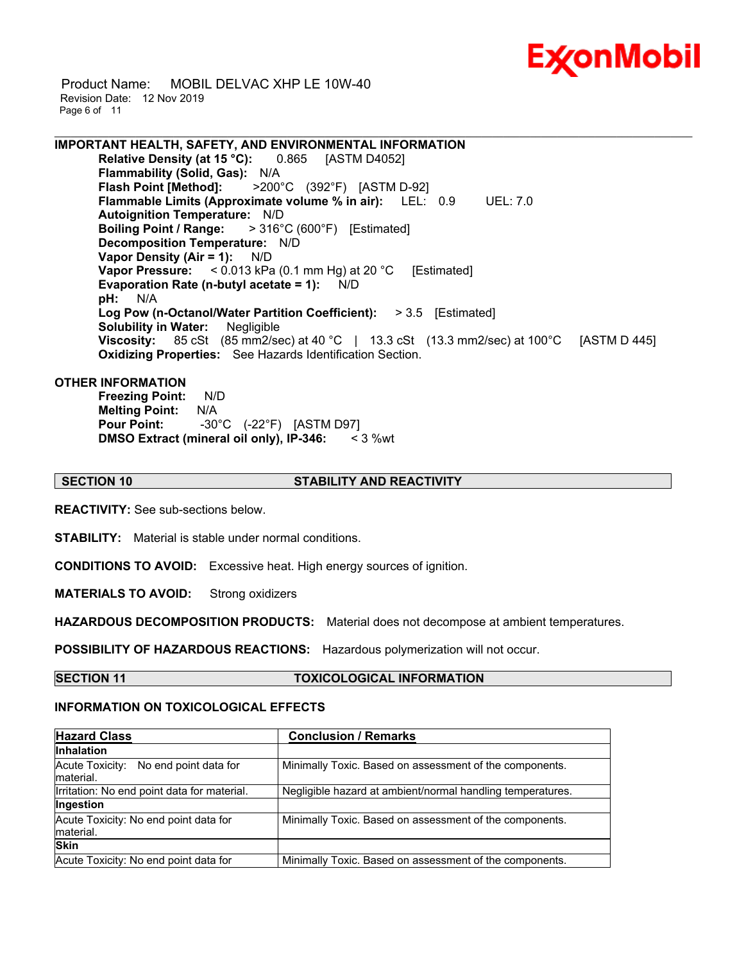

 Product Name: MOBIL DELVAC XHP LE 10W-40 Revision Date: 12 Nov 2019 Page 6 of 11

**IMPORTANT HEALTH, SAFETY, AND ENVIRONMENTAL INFORMATION Relative Density (at 15 °C):** 0.865 [ASTM D4052] **Flammability (Solid, Gas):** N/A<br>**Flash Point [Method]:** >200° **Flash Point [Method]:** >200°C (392°F) [ASTM D-92] **Flammable Limits (Approximate volume % in air):** LEL: 0.9 UEL: 7.0 **Autoignition Temperature:** N/D **Boiling Point / Range:** > 316°C (600°F) [Estimated] **Decomposition Temperature:** N/D **Vapor Density (Air = 1):** N/D **Vapor Pressure:** < 0.013 kPa (0.1 mm Hg) at 20 °C [Estimated] **Evaporation Rate (n-butyl acetate = 1):** N/D **pH:** N/A **Log Pow (n-Octanol/Water Partition Coefficient):** > 3.5 [Estimated] **Solubility in Water:** Negligible **Viscosity:** 85 cSt (85 mm2/sec) at 40 °C | 13.3 cSt (13.3 mm2/sec) at 100 °C [ASTM D 445] **Oxidizing Properties:** See Hazards Identification Section.

\_\_\_\_\_\_\_\_\_\_\_\_\_\_\_\_\_\_\_\_\_\_\_\_\_\_\_\_\_\_\_\_\_\_\_\_\_\_\_\_\_\_\_\_\_\_\_\_\_\_\_\_\_\_\_\_\_\_\_\_\_\_\_\_\_\_\_\_\_\_\_\_\_\_\_\_\_\_\_\_\_\_\_\_\_\_\_\_\_\_\_\_\_\_\_\_\_\_\_\_\_\_\_\_\_\_\_\_\_\_\_\_\_\_\_\_\_\_

#### **OTHER INFORMATION**

**Freezing Point:** N/D **Melting Point:** N/A **Pour Point:** -30°C (-22°F) [ASTM D97] **DMSO Extract (mineral oil only), IP-346:** < 3 %wt

#### **SECTION 10 STABILITY AND REACTIVITY**

**REACTIVITY:** See sub-sections below.

**STABILITY:** Material is stable under normal conditions.

**CONDITIONS TO AVOID:** Excessive heat. High energy sources of ignition.

**MATERIALS TO AVOID:** Strong oxidizers

**HAZARDOUS DECOMPOSITION PRODUCTS:** Material does not decompose at ambient temperatures.

**POSSIBILITY OF HAZARDOUS REACTIONS:** Hazardous polymerization will not occur.

**SECTION 11 TOXICOLOGICAL INFORMATION**

#### **INFORMATION ON TOXICOLOGICAL EFFECTS**

| <b>Hazard Class</b>                                 | <b>Conclusion / Remarks</b>                                |  |  |
|-----------------------------------------------------|------------------------------------------------------------|--|--|
| <b>Inhalation</b>                                   |                                                            |  |  |
| Acute Toxicity: No end point data for<br>Imaterial. | Minimally Toxic. Based on assessment of the components.    |  |  |
| Irritation: No end point data for material.         | Negligible hazard at ambient/normal handling temperatures. |  |  |
| Ingestion                                           |                                                            |  |  |
| Acute Toxicity: No end point data for               | Minimally Toxic. Based on assessment of the components.    |  |  |
| material.                                           |                                                            |  |  |
| <b>Skin</b>                                         |                                                            |  |  |
| Acute Toxicity: No end point data for               | Minimally Toxic. Based on assessment of the components.    |  |  |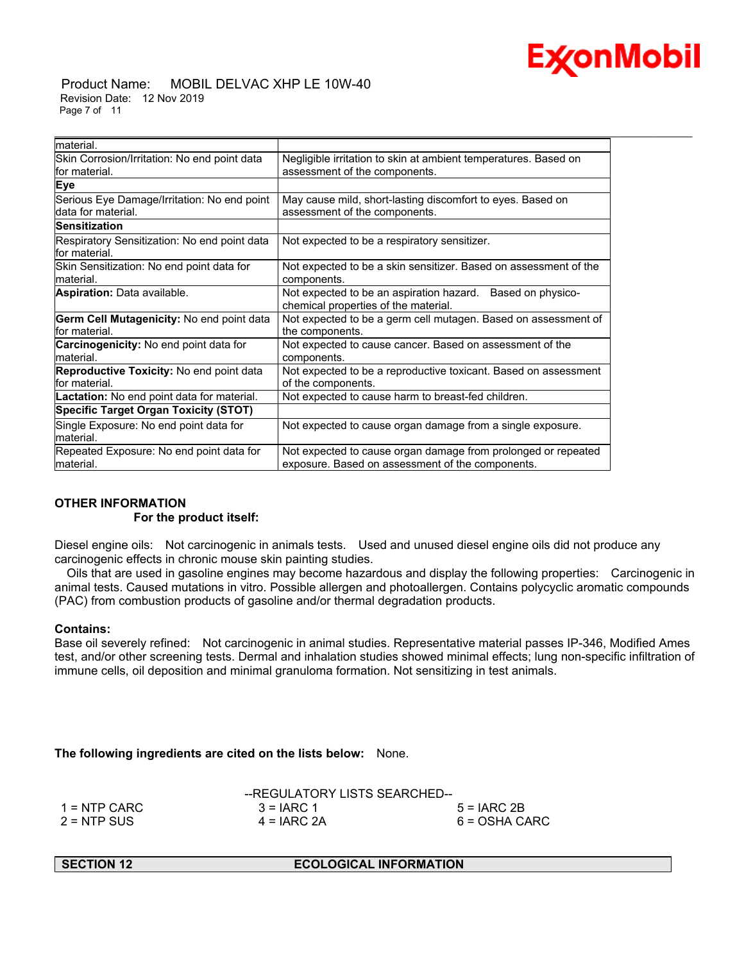

 Product Name: MOBIL DELVAC XHP LE 10W-40 Revision Date: 12 Nov 2019 Page 7 of 11

| material.                                                         |                                                                                                                   |
|-------------------------------------------------------------------|-------------------------------------------------------------------------------------------------------------------|
| Skin Corrosion/Irritation: No end point data                      | Negligible irritation to skin at ambient temperatures. Based on                                                   |
| for material.                                                     | assessment of the components.                                                                                     |
| <b>Eye</b>                                                        |                                                                                                                   |
| Serious Eye Damage/Irritation: No end point<br>data for material. | May cause mild, short-lasting discomfort to eyes. Based on<br>assessment of the components.                       |
| <b>Sensitization</b>                                              |                                                                                                                   |
| Respiratory Sensitization: No end point data<br>for material.     | Not expected to be a respiratory sensitizer.                                                                      |
| Skin Sensitization: No end point data for<br>lmaterial.           | Not expected to be a skin sensitizer. Based on assessment of the<br>components.                                   |
| <b>Aspiration: Data available.</b>                                | Not expected to be an aspiration hazard. Based on physico-<br>chemical properties of the material.                |
| Germ Cell Mutagenicity: No end point data<br>lfor material.       | Not expected to be a germ cell mutagen. Based on assessment of<br>the components.                                 |
| <b>Carcinogenicity:</b> No end point data for<br>material.        | Not expected to cause cancer. Based on assessment of the<br>components.                                           |
| Reproductive Toxicity: No end point data<br>lfor material.        | Not expected to be a reproductive toxicant. Based on assessment<br>of the components.                             |
| Lactation: No end point data for material.                        | Not expected to cause harm to breast-fed children.                                                                |
| <b>Specific Target Organ Toxicity (STOT)</b>                      |                                                                                                                   |
| Single Exposure: No end point data for<br>material.               | Not expected to cause organ damage from a single exposure.                                                        |
| Repeated Exposure: No end point data for<br>material.             | Not expected to cause organ damage from prolonged or repeated<br>exposure. Based on assessment of the components. |

\_\_\_\_\_\_\_\_\_\_\_\_\_\_\_\_\_\_\_\_\_\_\_\_\_\_\_\_\_\_\_\_\_\_\_\_\_\_\_\_\_\_\_\_\_\_\_\_\_\_\_\_\_\_\_\_\_\_\_\_\_\_\_\_\_\_\_\_\_\_\_\_\_\_\_\_\_\_\_\_\_\_\_\_\_\_\_\_\_\_\_\_\_\_\_\_\_\_\_\_\_\_\_\_\_\_\_\_\_\_\_\_\_\_\_\_\_\_

### **OTHER INFORMATION For the product itself:**

Diesel engine oils: Not carcinogenic in animals tests. Used and unused diesel engine oils did not produce any carcinogenic effects in chronic mouse skin painting studies.

 Oils that are used in gasoline engines may become hazardous and display the following properties: Carcinogenic in animal tests. Caused mutations in vitro. Possible allergen and photoallergen. Contains polycyclic aromatic compounds (PAC) from combustion products of gasoline and/or thermal degradation products.

### **Contains:**

Base oil severely refined: Not carcinogenic in animal studies. Representative material passes IP-346, Modified Ames test, and/or other screening tests. Dermal and inhalation studies showed minimal effects; lung non-specific infiltration of immune cells, oil deposition and minimal granuloma formation. Not sensitizing in test animals.

**The following ingredients are cited on the lists below:** None.

|               | --REGULATORY LISTS SEARCHED-- |               |  |  |
|---------------|-------------------------------|---------------|--|--|
| 1 = NTP CARC  | $3 = IARC 1$                  | $5 = IARC2B$  |  |  |
| $2 =$ NTP SUS | $4 = IARC 2A$                 | 6 = OSHA CARC |  |  |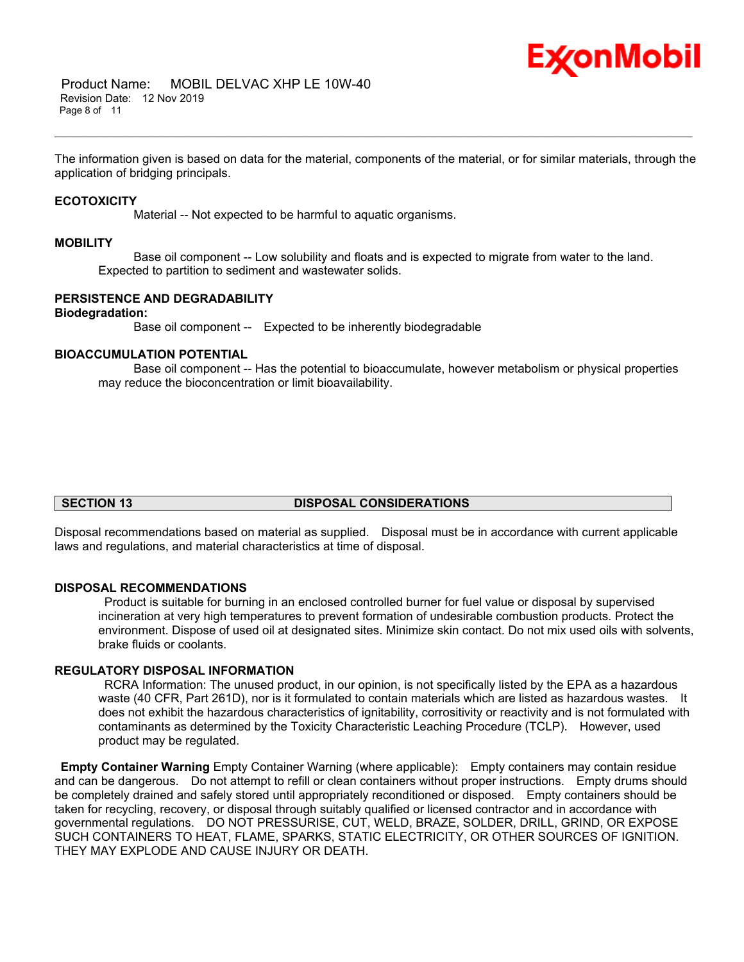

The information given is based on data for the material, components of the material, or for similar materials, through the application of bridging principals.

\_\_\_\_\_\_\_\_\_\_\_\_\_\_\_\_\_\_\_\_\_\_\_\_\_\_\_\_\_\_\_\_\_\_\_\_\_\_\_\_\_\_\_\_\_\_\_\_\_\_\_\_\_\_\_\_\_\_\_\_\_\_\_\_\_\_\_\_\_\_\_\_\_\_\_\_\_\_\_\_\_\_\_\_\_\_\_\_\_\_\_\_\_\_\_\_\_\_\_\_\_\_\_\_\_\_\_\_\_\_\_\_\_\_\_\_\_\_

#### **ECOTOXICITY**

Material -- Not expected to be harmful to aquatic organisms.

#### **MOBILITY**

 Base oil component -- Low solubility and floats and is expected to migrate from water to the land. Expected to partition to sediment and wastewater solids.

### **PERSISTENCE AND DEGRADABILITY**

#### **Biodegradation:**

Base oil component -- Expected to be inherently biodegradable

#### **BIOACCUMULATION POTENTIAL**

 Base oil component -- Has the potential to bioaccumulate, however metabolism or physical properties may reduce the bioconcentration or limit bioavailability.

### **SECTION 13 DISPOSAL CONSIDERATIONS**

Disposal recommendations based on material as supplied. Disposal must be in accordance with current applicable laws and regulations, and material characteristics at time of disposal.

#### **DISPOSAL RECOMMENDATIONS**

 Product is suitable for burning in an enclosed controlled burner for fuel value or disposal by supervised incineration at very high temperatures to prevent formation of undesirable combustion products. Protect the environment. Dispose of used oil at designated sites. Minimize skin contact. Do not mix used oils with solvents, brake fluids or coolants.

#### **REGULATORY DISPOSAL INFORMATION**

 RCRA Information: The unused product, in our opinion, is not specifically listed by the EPA as a hazardous waste (40 CFR, Part 261D), nor is it formulated to contain materials which are listed as hazardous wastes. It does not exhibit the hazardous characteristics of ignitability, corrositivity or reactivity and is not formulated with contaminants as determined by the Toxicity Characteristic Leaching Procedure (TCLP). However, used product may be regulated.

**Empty Container Warning** Empty Container Warning (where applicable): Empty containers may contain residue and can be dangerous. Do not attempt to refill or clean containers without proper instructions. Empty drums should be completely drained and safely stored until appropriately reconditioned or disposed. Empty containers should be taken for recycling, recovery, or disposal through suitably qualified or licensed contractor and in accordance with governmental regulations. DO NOT PRESSURISE, CUT, WELD, BRAZE, SOLDER, DRILL, GRIND, OR EXPOSE SUCH CONTAINERS TO HEAT, FLAME, SPARKS, STATIC ELECTRICITY, OR OTHER SOURCES OF IGNITION. THEY MAY EXPLODE AND CAUSE INJURY OR DEATH.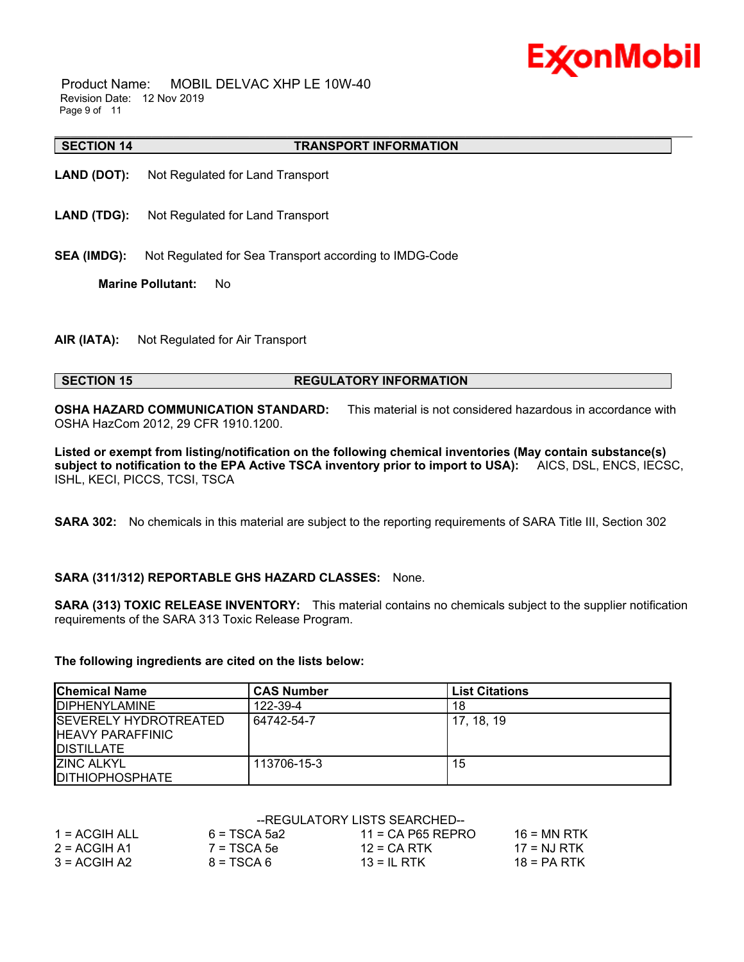# Ex⁄onMobil

 Product Name: MOBIL DELVAC XHP LE 10W-40 Revision Date: 12 Nov 2019 Page 9 of 11

#### **SECTION 14 TRANSPORT INFORMATION**

- **LAND (DOT):** Not Regulated for Land Transport
- **LAND (TDG):** Not Regulated for Land Transport
- **SEA (IMDG):** Not Regulated for Sea Transport according to IMDG-Code

**Marine Pollutant:** No

**AIR (IATA):** Not Regulated for Air Transport

### **SECTION 15 REGULATORY INFORMATION**

**OSHA HAZARD COMMUNICATION STANDARD:** This material is not considered hazardous in accordance with OSHA HazCom 2012, 29 CFR 1910.1200.

\_\_\_\_\_\_\_\_\_\_\_\_\_\_\_\_\_\_\_\_\_\_\_\_\_\_\_\_\_\_\_\_\_\_\_\_\_\_\_\_\_\_\_\_\_\_\_\_\_\_\_\_\_\_\_\_\_\_\_\_\_\_\_\_\_\_\_\_\_\_\_\_\_\_\_\_\_\_\_\_\_\_\_\_\_\_\_\_\_\_\_\_\_\_\_\_\_\_\_\_\_\_\_\_\_\_\_\_\_\_\_\_\_\_\_\_\_\_

**Listed or exempt from listing/notification on the following chemical inventories (May contain substance(s) subject to notification to the EPA Active TSCA inventory prior to import to USA):** AICS, DSL, ENCS, IECSC, ISHL, KECI, PICCS, TCSI, TSCA

**SARA 302:** No chemicals in this material are subject to the reporting requirements of SARA Title III, Section 302

### **SARA (311/312) REPORTABLE GHS HAZARD CLASSES:** None.

**SARA (313) TOXIC RELEASE INVENTORY:** This material contains no chemicals subject to the supplier notification requirements of the SARA 313 Toxic Release Program.

#### **The following ingredients are cited on the lists below:**

| <b>Chemical Name</b>                                                            | <b>CAS Number</b> | <b>List Citations</b> |
|---------------------------------------------------------------------------------|-------------------|-----------------------|
| <b>IDIPHENYLAMINE</b>                                                           | 122-39-4          | 18                    |
| <b>ISEVERELY HYDROTREATED</b><br><b>IHEAVY PARAFFINIC</b><br><b>IDISTILLATE</b> | 64742-54-7        | 17. 18. 19            |
| <b>ZINC ALKYL</b><br><b>IDITHIOPHOSPHATE</b>                                    | 113706-15-3       | 15                    |

### --REGULATORY LISTS SEARCHED--

| 1 = ACGIH ALL  | $6 = TSCA$ 5a2 | $11 = CA$ P65 REPRO | $16 = MN$ RTK              |
|----------------|----------------|---------------------|----------------------------|
| $2 = ACGIH A1$ | $7 = TSCA5e$   | $12$ = CA RTK       | $17 = N \cdot I \cdot RTK$ |
| $3 = ACGH A2$  | $8 = TSCA6$    | $13 = II$ RTK       | $18 = PA RTK$              |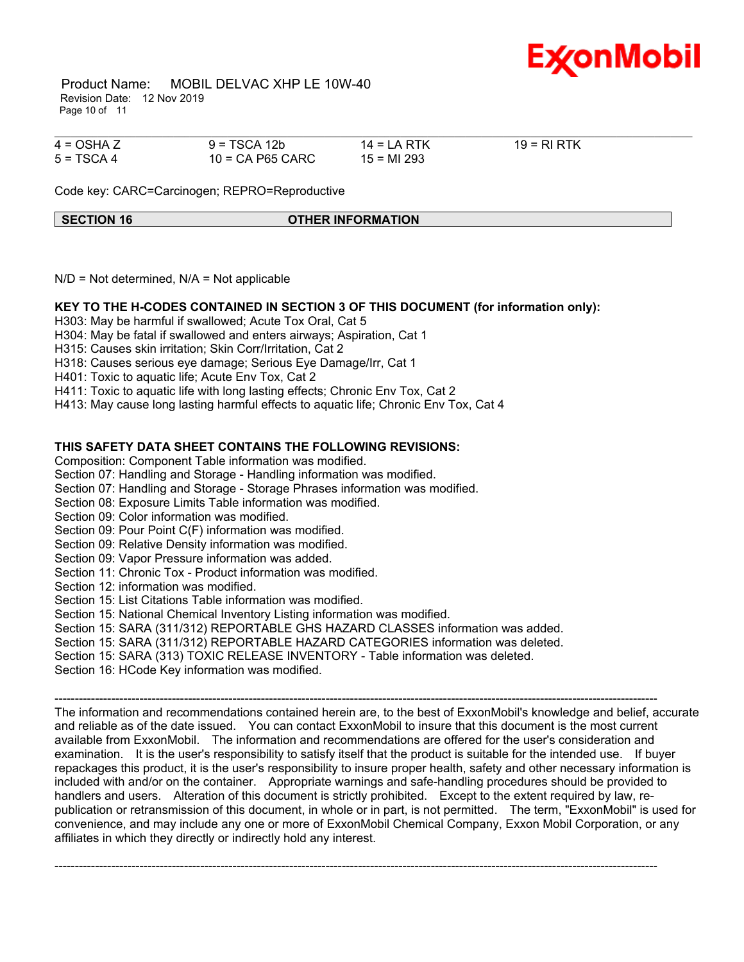

 Product Name: MOBIL DELVAC XHP LE 10W-40 Revision Date: 12 Nov 2019 Page 10 of 11

| $4 = OSHA Z$ | $9 = TSCA 12b$     | $14 = LA RTK$ | $19 = R1 RTK$ |  |
|--------------|--------------------|---------------|---------------|--|
| $5 = TSCA 4$ | $10$ = CA P65 CARC | 15 = MI 293   |               |  |

Code key: CARC=Carcinogen; REPRO=Reproductive

#### **SECTION 16 OTHER INFORMATION**

 $N/D$  = Not determined,  $N/A$  = Not applicable

### **KEY TO THE H-CODES CONTAINED IN SECTION 3 OF THIS DOCUMENT (for information only):**

H303: May be harmful if swallowed; Acute Tox Oral, Cat 5

H304: May be fatal if swallowed and enters airways; Aspiration, Cat 1

H315: Causes skin irritation; Skin Corr/Irritation, Cat 2

H318: Causes serious eye damage; Serious Eye Damage/Irr, Cat 1

H401: Toxic to aquatic life; Acute Env Tox, Cat 2

H411: Toxic to aquatic life with long lasting effects; Chronic Env Tox, Cat 2

H413: May cause long lasting harmful effects to aquatic life; Chronic Env Tox, Cat 4

### **THIS SAFETY DATA SHEET CONTAINS THE FOLLOWING REVISIONS:**

Composition: Component Table information was modified.

Section 07: Handling and Storage - Handling information was modified.

Section 07: Handling and Storage - Storage Phrases information was modified.

Section 08: Exposure Limits Table information was modified.

Section 09: Color information was modified.

Section 09: Pour Point C(F) information was modified.

Section 09: Relative Density information was modified.

Section 09: Vapor Pressure information was added.

Section 11: Chronic Tox - Product information was modified.

Section 12: information was modified.

Section 15: List Citations Table information was modified.

Section 15: National Chemical Inventory Listing information was modified.

Section 15: SARA (311/312) REPORTABLE GHS HAZARD CLASSES information was added.

Section 15: SARA (311/312) REPORTABLE HAZARD CATEGORIES information was deleted.

Section 15: SARA (313) TOXIC RELEASE INVENTORY - Table information was deleted.

Section 16: HCode Key information was modified.

----------------------------------------------------------------------------------------------------------------------------------------------------- The information and recommendations contained herein are, to the best of ExxonMobil's knowledge and belief, accurate and reliable as of the date issued. You can contact ExxonMobil to insure that this document is the most current available from ExxonMobil. The information and recommendations are offered for the user's consideration and examination. It is the user's responsibility to satisfy itself that the product is suitable for the intended use. If buyer repackages this product, it is the user's responsibility to insure proper health, safety and other necessary information is included with and/or on the container. Appropriate warnings and safe-handling procedures should be provided to handlers and users. Alteration of this document is strictly prohibited. Except to the extent required by law, republication or retransmission of this document, in whole or in part, is not permitted. The term, "ExxonMobil" is used for convenience, and may include any one or more of ExxonMobil Chemical Company, Exxon Mobil Corporation, or any affiliates in which they directly or indirectly hold any interest.

-----------------------------------------------------------------------------------------------------------------------------------------------------